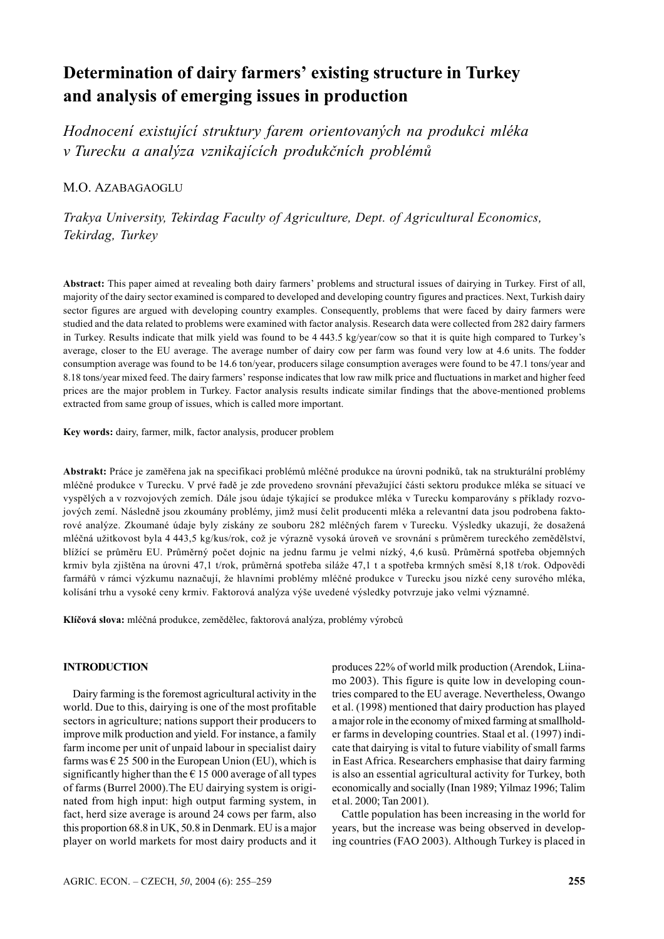# Determination of dairy farmers' existing structure in Turkey and analysis of emerging issues in production

Hodnocení existující struktury farem orientovaných na produkci mléka v Turecku a analýza vznikajících produkčních problémů

M.O. AZABAGAOGLU

Trakya University, Tekirdag Faculty of Agriculture, Dept. of Agricultural Economics, Tekirdag, Turkey

Abstract: This paper aimed at revealing both dairy farmers' problems and structural issues of dairying in Turkey. First of all, majority of the dairy sector examined is compared to developed and developing country figures and practices. Next, Turkish dairy sector figures are argued with developing country examples. Consequently, problems that were faced by dairy farmers were studied and the data related to problems were examined with factor analysis. Research data were collected from 282 dairy farmers in Turkey. Results indicate that milk yield was found to be 4 443.5 kg/year/cow so that it is quite high compared to Turkey's average, closer to the EU average. The average number of dairy cow per farm was found very low at 4.6 units. The fodder consumption average was found to be 14.6 ton/year, producers silage consumption averages were found to be 47.1 tons/year and 8.18 tons/year mixed feed. The dairy farmers' response indicates that low raw milk price and fluctuations in market and higher feed prices are the major problem in Turkey. Factor analysis results indicate similar findings that the above-mentioned problems extracted from same group of issues, which is called more important.

Key words: dairy, farmer, milk, factor analysis, producer problem

Abstrakt: Práce je zaměřena jak na specifikaci problémů mléčné produkce na úrovni podniků, tak na strukturální problémy mléčné produkce v Turecku. V prvé řadě je zde provedeno srovnání převažující části sektoru produkce mléka se situací ve vyspělých a v rozvojových zemích. Dále jsou údaje týkající se produkce mléka v Turecku komparovány s příklady rozvojových zemí. Následně jsou zkoumány problémy, jimž musí čelit producenti mléka a relevantní data jsou podrobena faktorové analýze. Zkoumané údaje byly získány ze souboru 282 mléčných farem v Turecku. Výsledky ukazují, že dosažená mléčná užitkovost byla 4 443,5 kg/kus/rok, což je výrazně vysoká úroveň ve srovnání s průměrem tureckého zemědělství, blížící se průměru EU. Průměrný počet dojnic na jednu farmu je velmi nízký, 4,6 kusů. Průměrná spotřeba objemných krmiv byla zjištěna na úrovni 47,1 t/rok, průměrná spotřeba siláže 47,1 t a spotřeba krmných směsí 8,18 t/rok. Odpovědi farmářů v rámci výzkumu naznačují, že hlavními problémy mléčné produkce v Turecku jsou nízké ceny surového mléka, kolísání trhu a vysoké ceny krmiv. Faktorová analýza výše uvedené výsledky potvrzuje jako velmi významné.

Klíčová slova: mléčná produkce, zemědělec, faktorová analýza, problémy výrobců

# **INTRODUCTION**

Dairy farming is the foremost agricultural activity in the world. Due to this, dairying is one of the most profitable sectors in agriculture: nations support their producers to improve milk production and yield. For instance, a family farm income per unit of unpaid labour in specialist dairy farms was  $\epsilon$  25 500 in the European Union (EU), which is significantly higher than the  $\epsilon$  15 000 average of all types of farms (Burrel 2000). The EU dairying system is originated from high input; high output farming system, in fact, herd size average is around 24 cows per farm, also this proportion 68.8 in UK, 50.8 in Denmark. EU is a major player on world markets for most dairy products and it produces 22% of world milk production (Arendok, Liinamo 2003). This figure is quite low in developing countries compared to the EU average. Nevertheless, Owango et al. (1998) mentioned that dairy production has played a major role in the economy of mixed farming at smallholder farms in developing countries. Staal et al. (1997) indicate that dairying is vital to future viability of small farms in East Africa. Researchers emphasise that dairy farming is also an essential agricultural activity for Turkey, both economically and socially (Inan 1989; Yilmaz 1996; Talim et al. 2000: Tan 2001).

Cattle population has been increasing in the world for years, but the increase was being observed in developing countries (FAO 2003). Although Turkey is placed in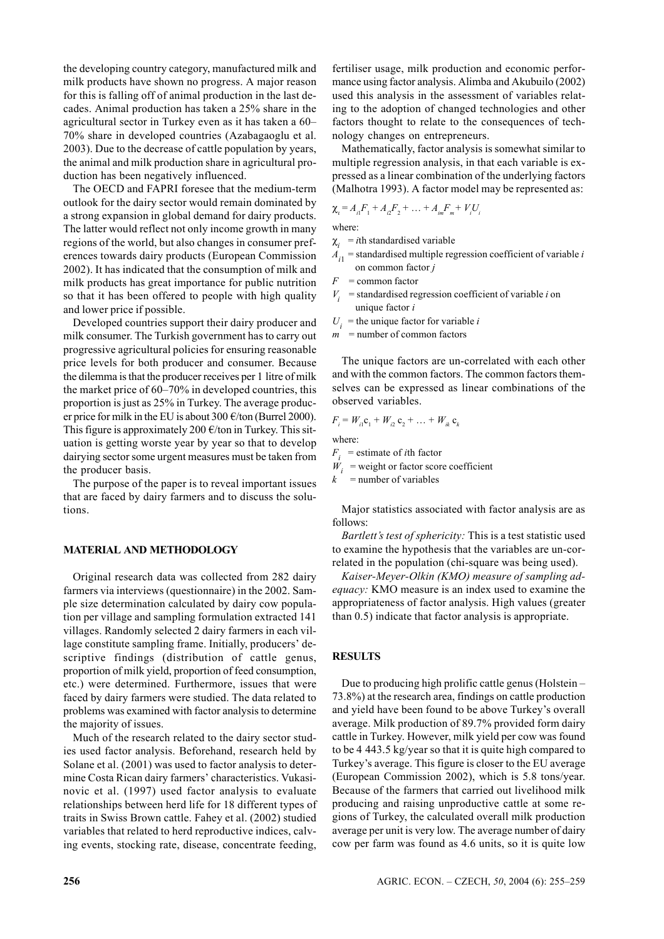the developing country category, manufactured milk and milk products have shown no progress. A major reason for this is falling off of animal production in the last decades. Animal production has taken a 25% share in the agricultural sector in Turkey even as it has taken a 60– 70% share in developed countries (Azabagaoglu et al. 2003). Due to the decrease of cattle population by years, the animal and milk production share in agricultural production has been negatively influenced.

The OECD and FAPRI foresee that the medium-term outlook for the dairy sector would remain dominated by a strong expansion in global demand for dairy products. The latter would reflect not only income growth in many regions of the world, but also changes in consumer preferences towards dairy products (European Commission 2002). It has indicated that the consumption of milk and milk products has great importance for public nutrition so that it has been offered to people with high quality and lower price if possible.

Developed countries support their dairy producer and milk consumer. The Turkish government has to carry out progressive agricultural policies for ensuring reasonable price levels for both producer and consumer. Because the dilemma is that the producer receives per 1 litre of milk the market price of 60–70% in developed countries, this proportion is just as 25% in Turkey. The average producer price for milk in the EU is about 300  $\epsilon$ /ton (Burrel 2000). This figure is approximately 200  $\epsilon$ /ton in Turkey. This situation is getting worste year by year so that to develop dairying sector some urgent measures must be taken from the producer basis.

The purpose of the paper is to reveal important issues that are faced by dairy farmers and to discuss the solutions.

## **MATERIAL AND METHODOLOGY**

Original research data was collected from 282 dairy farmers via interviews (questionnaire) in the 2002. Sample size determination calculated by dairy cow population per village and sampling formulation extracted 141 villages. Randomly selected 2 dairy farmers in each village constitute sampling frame. Initially, producers' descriptive findings (distribution of cattle genus, proportion of milk yield, proportion of feed consumption, etc.) were determined. Furthermore, issues that were faced by dairy farmers were studied. The data related to problems was examined with factor analysis to determine the majority of issues.

Much of the research related to the dairy sector studies used factor analysis. Beforehand, research held by Solane et al. (2001) was used to factor analysis to determine Costa Rican dairy farmers' characteristics. Vukasinovic et al. (1997) used factor analysis to evaluate relationships between herd life for 18 different types of traits in Swiss Brown cattle. Fahey et al. (2002) studied variables that related to herd reproductive indices, calving events, stocking rate, disease, concentrate feeding, fertiliser usage, milk production and economic performance using factor analysis. Alimba and Akubuilo (2002) used this analysis in the assessment of variables relating to the adoption of changed technologies and other factors thought to relate to the consequences of technology changes on entrepreneurs.

Mathematically, factor analysis is somewhat similar to multiple regression analysis, in that each variable is expressed as a linear combination of the underlying factors (Malhotra 1993). A factor model may be represented as:

$$
\chi_{i} = A_{i1}F_{1} + A_{i2}F_{2} + \dots + A_{im}F_{m} + V_{i}U_{i}
$$

where:

- $\chi_i$  = *i*th standardised variable
- $\overline{A}_{i1}$  = standardised multiple regression coefficient of variable *i* on common factor *j*
- *F =* common factor
- $V_i$  = standardised regression coefficient of variable *i* on unique factor *i*
- $U_i$  = the unique factor for variable *i*

 $m =$  number of common factors

The unique factors are un-correlated with each other and with the common factors. The common factors themselves can be expressed as linear combinations of the observed variables.

$$
F_i = W_{i1} \mathbf{c}_1 + W_{i2} \mathbf{c}_2 + \dots + W_{ik} \mathbf{c}_k
$$

where:

 $F_i$  = estimate of *i*th factor

 $W_i$  = weight or factor score coefficient

 $k =$  number of variables

Major statistics associated with factor analysis are as follows:

*Bartlett's test of sphericity:* This is a test statistic used to examine the hypothesis that the variables are un-correlated in the population (chi-square was being used).

*Kaiser-Meyer-Olkin (KMO) measure of sampling adequacy:* KMO measure is an index used to examine the appropriateness of factor analysis. High values (greater than 0.5) indicate that factor analysis is appropriate.

# **RESULTS**

Due to producing high prolific cattle genus (Holstein – 73.8%) at the research area, findings on cattle production and yield have been found to be above Turkey's overall average. Milk production of 89.7% provided form dairy cattle in Turkey. However, milk yield per cow was found to be 4 443.5 kg/year so that it is quite high compared to Turkey's average. This figure is closer to the EU average (European Commission 2002), which is 5.8 tons/year. Because of the farmers that carried out livelihood milk producing and raising unproductive cattle at some regions of Turkey, the calculated overall milk production average per unit is very low. The average number of dairy cow per farm was found as 4.6 units, so it is quite low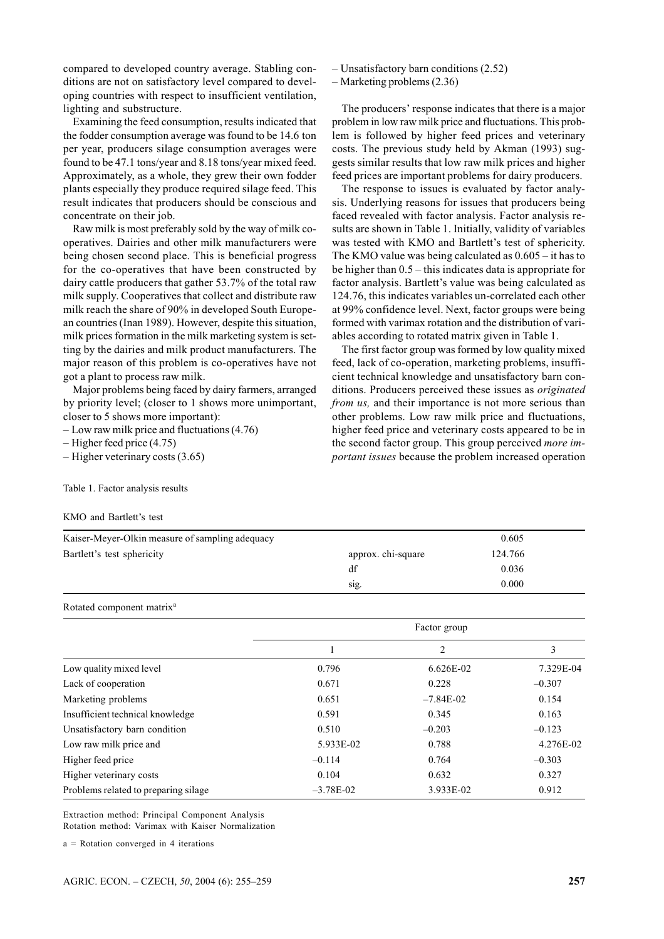compared to developed country average. Stabling conditions are not on satisfactory level compared to developing countries with respect to insufficient ventilation, lighting and substructure.

Examining the feed consumption, results indicated that the fodder consumption average was found to be 14.6 ton per year, producers silage consumption averages were found to be 47.1 tons/year and 8.18 tons/year mixed feed. Approximately, as a whole, they grew their own fodder plants especially they produce required silage feed. This result indicates that producers should be conscious and concentrate on their job.

Raw milk is most preferably sold by the way of milk cooperatives. Dairies and other milk manufacturers were being chosen second place. This is beneficial progress for the co-operatives that have been constructed by dairy cattle producers that gather 53.7% of the total raw milk supply. Cooperatives that collect and distribute raw milk reach the share of 90% in developed South European countries (Inan 1989). However, despite this situation, milk prices formation in the milk marketing system is setting by the dairies and milk product manufacturers. The major reason of this problem is co-operatives have not got a plant to process raw milk.

Major problems being faced by dairy farmers, arranged by priority level; (closer to 1 shows more unimportant, closer to 5 shows more important):

– Low raw milk price and fluctuations (4.76)

– Higher feed price (4.75)

– Higher veterinary costs (3.65)

#### Table 1. Factor analysis results

## KMO and Bartlett's test

- Unsatisfactory barn conditions (2.52)
- Marketing problems (2.36)

The producers' response indicates that there is a major problem in low raw milk price and fluctuations. This problem is followed by higher feed prices and veterinary costs. The previous study held by Akman (1993) suggests similar results that low raw milk prices and higher feed prices are important problems for dairy producers.

The response to issues is evaluated by factor analysis. Underlying reasons for issues that producers being faced revealed with factor analysis. Factor analysis results are shown in Table 1. Initially, validity of variables was tested with KMO and Bartlett's test of sphericity. The KMO value was being calculated as 0.605 – it has to be higher than 0.5 – this indicates data is appropriate for factor analysis. Bartlett's value was being calculated as 124.76, this indicates variables un-correlated each other at 99% confidence level. Next, factor groups were being formed with varimax rotation and the distribution of variables according to rotated matrix given in Table 1.

The first factor group was formed by low quality mixed feed, lack of co-operation, marketing problems, insufficient technical knowledge and unsatisfactory barn conditions. Producers perceived these issues as *originated from us,* and their importance is not more serious than other problems. Low raw milk price and fluctuations, higher feed price and veterinary costs appeared to be in the second factor group. This group perceived *more important issues* because the problem increased operation

| Kaiser-Meyer-Olkin measure of sampling adequacy |                    | 0.605   |  |
|-------------------------------------------------|--------------------|---------|--|
| Bartlett's test sphericity                      | approx. chi-square | 124.766 |  |
|                                                 | df                 | 0.036   |  |
|                                                 | SIg.               | 0.000   |  |

Rotated component matrix<sup>a</sup>

|                                      | Factor group |             |           |
|--------------------------------------|--------------|-------------|-----------|
|                                      |              | 2           | 3         |
| Low quality mixed level              | 0.796        | $6.626E-02$ | 7.329E-04 |
| Lack of cooperation                  | 0.671        | 0.228       | $-0.307$  |
| Marketing problems                   | 0.651        | $-7.84E-02$ | 0.154     |
| Insufficient technical knowledge     | 0.591        | 0.345       | 0.163     |
| Unsatisfactory barn condition        | 0.510        | $-0.203$    | $-0.123$  |
| Low raw milk price and               | 5.933E-02    | 0.788       | 4.276E-02 |
| Higher feed price                    | $-0.114$     | 0.764       | $-0.303$  |
| Higher veterinary costs              | 0.104        | 0.632       | 0.327     |
| Problems related to preparing silage | $-3.78E-02$  | 3.933E-02   | 0.912     |

Extraction method: Principal Component Analysis Rotation method: Varimax with Kaiser Normalization

a = Rotation converged in 4 iterations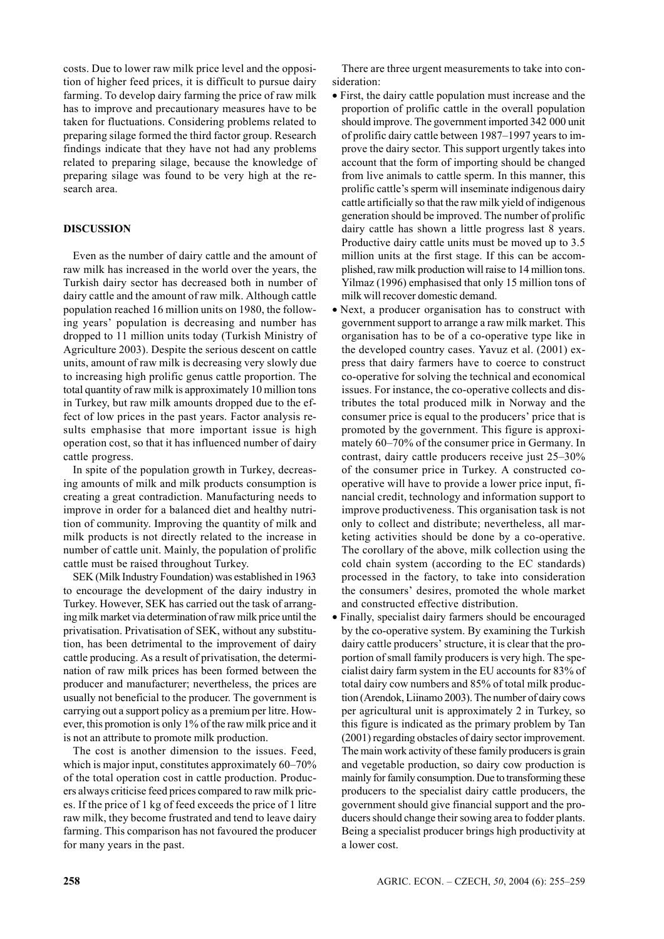costs. Due to lower raw milk price level and the opposition of higher feed prices, it is difficult to pursue dairy farming. To develop dairy farming the price of raw milk has to improve and precautionary measures have to be taken for fluctuations. Considering problems related to preparing silage formed the third factor group. Research findings indicate that they have not had any problems related to preparing silage, because the knowledge of preparing silage was found to be very high at the research area.

## **DISCUSSION**

Even as the number of dairy cattle and the amount of raw milk has increased in the world over the years, the Turkish dairy sector has decreased both in number of dairy cattle and the amount of raw milk. Although cattle population reached 16 million units on 1980, the following years' population is decreasing and number has dropped to 11 million units today (Turkish Ministry of Agriculture 2003). Despite the serious descent on cattle units, amount of raw milk is decreasing very slowly due to increasing high prolific genus cattle proportion. The total quantity of raw milk is approximately 10 million tons in Turkey, but raw milk amounts dropped due to the effect of low prices in the past years. Factor analysis results emphasise that more important issue is high operation cost, so that it has influenced number of dairy cattle progress.

In spite of the population growth in Turkey, decreasing amounts of milk and milk products consumption is creating a great contradiction. Manufacturing needs to improve in order for a balanced diet and healthy nutrition of community. Improving the quantity of milk and milk products is not directly related to the increase in number of cattle unit. Mainly, the population of prolific cattle must be raised throughout Turkey.

SEK (Milk Industry Foundation) was established in 1963 to encourage the development of the dairy industry in Turkey. However, SEK has carried out the task of arranging milk market via determination of raw milk price until the privatisation. Privatisation of SEK, without any substitution, has been detrimental to the improvement of dairy cattle producing. As a result of privatisation, the determination of raw milk prices has been formed between the producer and manufacturer; nevertheless, the prices are usually not beneficial to the producer. The government is carrying out a support policy as a premium per litre. However, this promotion is only 1% of the raw milk price and it is not an attribute to promote milk production.

The cost is another dimension to the issues. Feed, which is major input, constitutes approximately 60–70% of the total operation cost in cattle production. Producers always criticise feed prices compared to raw milk prices. If the price of 1 kg of feed exceeds the price of 1 litre raw milk, they become frustrated and tend to leave dairy farming. This comparison has not favoured the producer for many years in the past.

There are three urgent measurements to take into consideration:

- First, the dairy cattle population must increase and the proportion of prolific cattle in the overall population should improve. The government imported 342 000 unit of prolific dairy cattle between 1987–1997 years to improve the dairy sector. This support urgently takes into account that the form of importing should be changed from live animals to cattle sperm. In this manner, this prolific cattle's sperm will inseminate indigenous dairy cattle artificially so that the raw milk yield of indigenous generation should be improved. The number of prolific dairy cattle has shown a little progress last 8 years. Productive dairy cattle units must be moved up to 3.5 million units at the first stage. If this can be accomplished, raw milk production will raise to 14 million tons. Yilmaz (1996) emphasised that only 15 million tons of milk will recover domestic demand.
- Next, a producer organisation has to construct with government support to arrange a raw milk market. This organisation has to be of a co-operative type like in the developed country cases. Yavuz et al. (2001) express that dairy farmers have to coerce to construct co-operative for solving the technical and economical issues. For instance, the co-operative collects and distributes the total produced milk in Norway and the consumer price is equal to the producers' price that is promoted by the government. This figure is approximately 60–70% of the consumer price in Germany. In contrast, dairy cattle producers receive just 25–30% of the consumer price in Turkey. A constructed cooperative will have to provide a lower price input, financial credit, technology and information support to improve productiveness. This organisation task is not only to collect and distribute; nevertheless, all marketing activities should be done by a co-operative. The corollary of the above, milk collection using the cold chain system (according to the EC standards) processed in the factory, to take into consideration the consumers' desires, promoted the whole market and constructed effective distribution.
- Finally, specialist dairy farmers should be encouraged by the co-operative system. By examining the Turkish dairy cattle producers' structure, it is clear that the proportion of small family producers is very high. The specialist dairy farm system in the EU accounts for 83% of total dairy cow numbers and 85% of total milk production (Arendok, Liinamo 2003). The number of dairy cows per agricultural unit is approximately 2 in Turkey, so this figure is indicated as the primary problem by Tan (2001) regarding obstacles of dairy sector improvement. The main work activity of these family producers is grain and vegetable production, so dairy cow production is mainly for family consumption. Due to transforming these producers to the specialist dairy cattle producers, the government should give financial support and the producers should change their sowing area to fodder plants. Being a specialist producer brings high productivity at a lower cost.